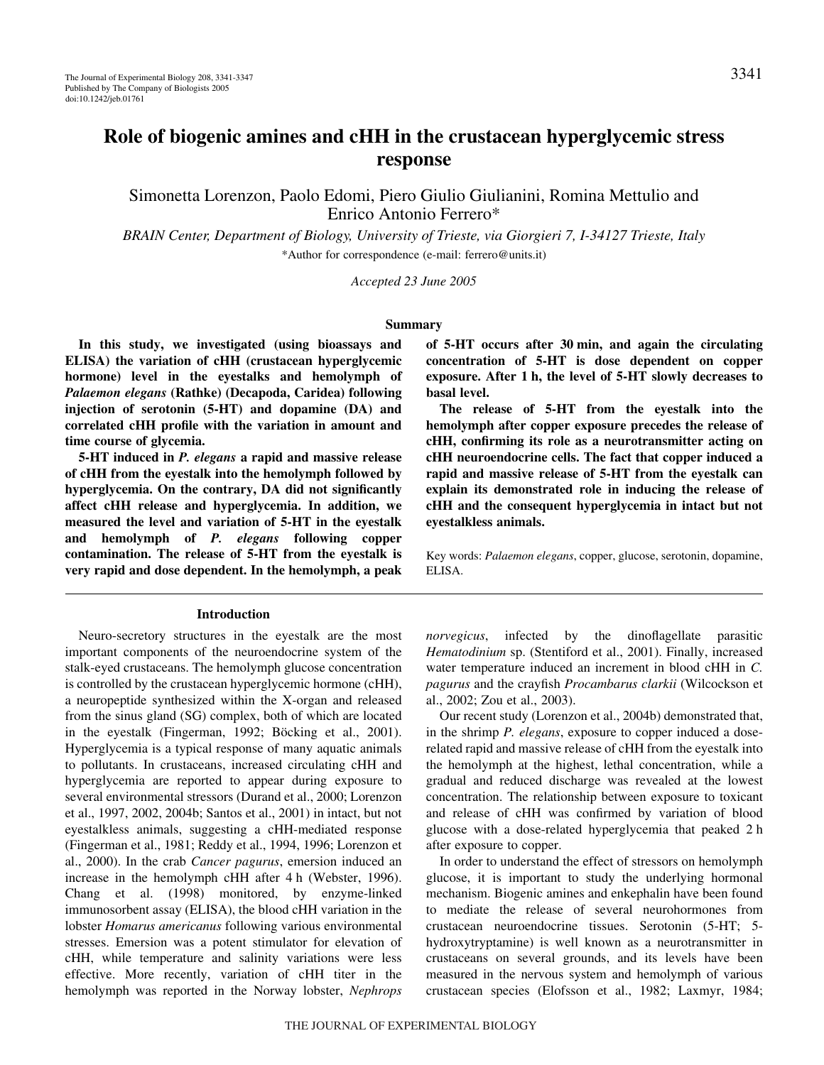# **Role of biogenic amines and cHH in the crustacean hyperglycemic stress response**

Simonetta Lorenzon, Paolo Edomi, Piero Giulio Giulianini, Romina Mettulio and Enrico Antonio Ferrero\*

*BRAIN Center, Department of Biology, University of Trieste, via Giorgieri 7, I-34127 Trieste, Italy* \*Author for correspondence (e-mail: ferrero@units.it)

*Accepted 23 June 2005*

## **Summary**

**In this study, we investigated (using bioassays and ELISA) the variation of cHH (crustacean hyperglycemic hormone) level in the eyestalks and hemolymph of** *Palaemon elegans* **(Rathke) (Decapoda, Caridea) following injection of serotonin (5-HT) and dopamine (DA) and correlated cHH profile with the variation in amount and time course of glycemia.** 

**5-HT induced in** *P. elegans* **a rapid and massive release of cHH from the eyestalk into the hemolymph followed by hyperglycemia. On the contrary, DA did not significantly affect cHH release and hyperglycemia. In addition, we measured the level and variation of 5-HT in the eyestalk and hemolymph of** *P. elegans* **following copper contamination. The release of 5-HT from the eyestalk is very rapid and dose dependent. In the hemolymph, a peak**

#### **Introduction**

Neuro-secretory structures in the eyestalk are the most important components of the neuroendocrine system of the stalk-eyed crustaceans. The hemolymph glucose concentration is controlled by the crustacean hyperglycemic hormone (cHH), a neuropeptide synthesized within the X-organ and released from the sinus gland (SG) complex, both of which are located in the eyestalk (Fingerman, 1992; Böcking et al., 2001). Hyperglycemia is a typical response of many aquatic animals to pollutants. In crustaceans, increased circulating cHH and hyperglycemia are reported to appear during exposure to several environmental stressors (Durand et al., 2000; Lorenzon et al., 1997, 2002, 2004b; Santos et al., 2001) in intact, but not eyestalkless animals, suggesting a cHH-mediated response (Fingerman et al., 1981; Reddy et al., 1994, 1996; Lorenzon et al., 2000). In the crab *Cancer pagurus*, emersion induced an increase in the hemolymph cHH after 4 h (Webster, 1996). Chang et al. (1998) monitored, by enzyme-linked immunosorbent assay (ELISA), the blood cHH variation in the lobster *Homarus americanus* following various environmental stresses. Emersion was a potent stimulator for elevation of cHH, while temperature and salinity variations were less effective. More recently, variation of cHH titer in the hemolymph was reported in the Norway lobster, *Nephrops*

**of 5-HT occurs after 30·min, and again the circulating concentration of 5-HT is dose dependent on copper** exposure. After 1 h, the level of 5-HT slowly decreases to **basal level.**

**The release of 5-HT from the eyestalk into the hemolymph after copper exposure precedes the release of cHH, confirming its role as a neurotransmitter acting on cHH neuroendocrine cells. The fact that copper induced a rapid and massive release of 5-HT from the eyestalk can explain its demonstrated role in inducing the release of cHH and the consequent hyperglycemia in intact but not eyestalkless animals.**

Key words: *Palaemon elegans*, copper, glucose, serotonin, dopamine, ELISA.

*norvegicus*, infected by the dinoflagellate parasitic *Hematodinium* sp. (Stentiford et al., 2001). Finally, increased water temperature induced an increment in blood cHH in *C. pagurus* and the crayfish *Procambarus clarkii* (Wilcockson et al., 2002; Zou et al., 2003).

Our recent study (Lorenzon et al., 2004b) demonstrated that, in the shrimp *P. elegans*, exposure to copper induced a doserelated rapid and massive release of cHH from the eyestalk into the hemolymph at the highest, lethal concentration, while a gradual and reduced discharge was revealed at the lowest concentration. The relationship between exposure to toxicant and release of cHH was confirmed by variation of blood glucose with a dose-related hyperglycemia that peaked 2 h after exposure to copper.

In order to understand the effect of stressors on hemolymph glucose, it is important to study the underlying hormonal mechanism. Biogenic amines and enkephalin have been found to mediate the release of several neurohormones from crustacean neuroendocrine tissues. Serotonin (5-HT; 5 hydroxytryptamine) is well known as a neurotransmitter in crustaceans on several grounds, and its levels have been measured in the nervous system and hemolymph of various crustacean species (Elofsson et al., 1982; Laxmyr, 1984;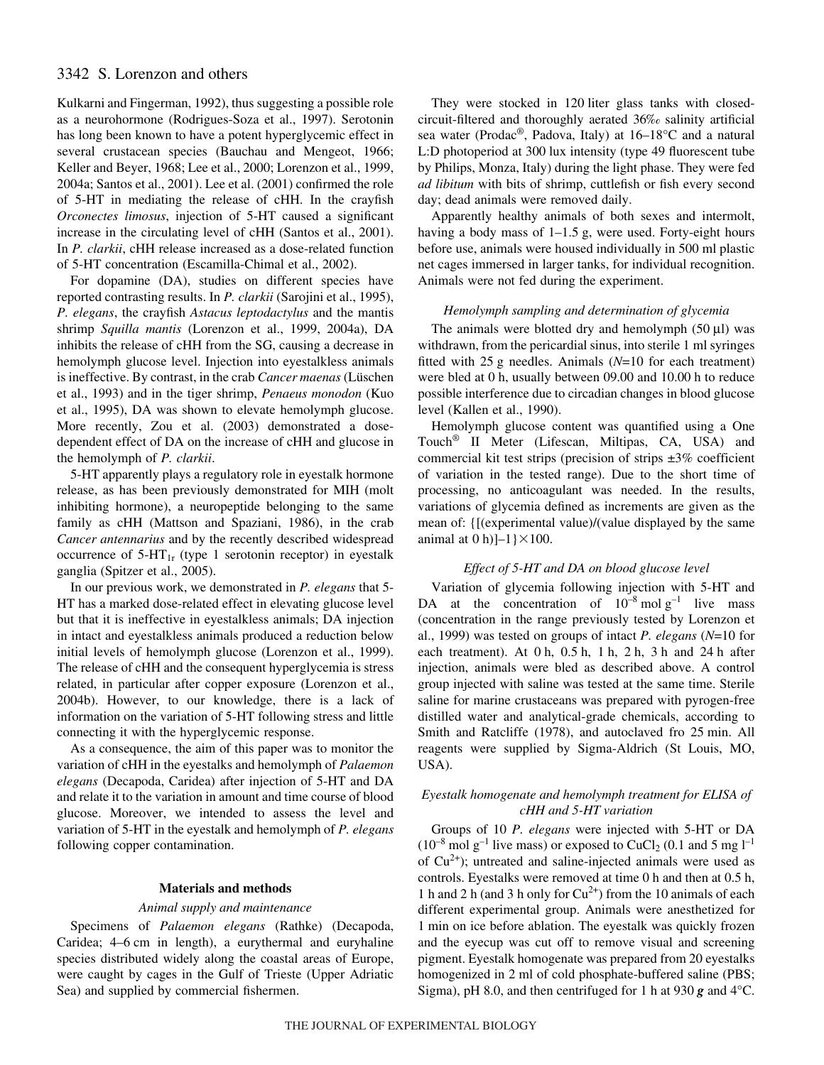# 3342 S. Lorenzon and others

Kulkarni and Fingerman, 1992), thus suggesting a possible role as a neurohormone (Rodrigues-Soza et al., 1997). Serotonin has long been known to have a potent hyperglycemic effect in several crustacean species (Bauchau and Mengeot, 1966; Keller and Beyer, 1968; Lee et al., 2000; Lorenzon et al., 1999, 2004a; Santos et al., 2001). Lee et al. (2001) confirmed the role of 5-HT in mediating the release of cHH. In the crayfish *Orconectes limosus*, injection of 5-HT caused a significant increase in the circulating level of cHH (Santos et al., 2001). In *P. clarkii*, cHH release increased as a dose-related function of 5-HT concentration (Escamilla-Chimal et al., 2002).

For dopamine (DA), studies on different species have reported contrasting results. In *P. clarkii* (Sarojini et al., 1995), *P. elegans*, the crayfish *Astacus leptodactylus* and the mantis shrimp *Squilla mantis* (Lorenzon et al., 1999, 2004a), DA inhibits the release of cHH from the SG, causing a decrease in hemolymph glucose level. Injection into eyestalkless animals is ineffective. By contrast, in the crab *Cancer maenas* (Lüschen et al., 1993) and in the tiger shrimp, *Penaeus monodon* (Kuo et al., 1995), DA was shown to elevate hemolymph glucose. More recently, Zou et al. (2003) demonstrated a dosedependent effect of DA on the increase of cHH and glucose in the hemolymph of *P. clarkii*.

5-HT apparently plays a regulatory role in eyestalk hormone release, as has been previously demonstrated for MIH (molt inhibiting hormone), a neuropeptide belonging to the same family as cHH (Mattson and Spaziani, 1986), in the crab *Cancer antennarius* and by the recently described widespread occurrence of  $5-HT_{1r}$  (type 1 serotonin receptor) in eyestalk ganglia (Spitzer et al., 2005).

In our previous work, we demonstrated in *P. elegans* that 5- HT has a marked dose-related effect in elevating glucose level but that it is ineffective in eyestalkless animals; DA injection in intact and eyestalkless animals produced a reduction below initial levels of hemolymph glucose (Lorenzon et al., 1999). The release of cHH and the consequent hyperglycemia is stress related, in particular after copper exposure (Lorenzon et al., 2004b). However, to our knowledge, there is a lack of information on the variation of 5-HT following stress and little connecting it with the hyperglycemic response.

As a consequence, the aim of this paper was to monitor the variation of cHH in the eyestalks and hemolymph of *Palaemon elegans* (Decapoda, Caridea) after injection of 5-HT and DA and relate it to the variation in amount and time course of blood glucose. Moreover, we intended to assess the level and variation of 5-HT in the eyestalk and hemolymph of *P. elegans* following copper contamination.

## **Materials and methods**

## *Animal supply and maintenance*

Specimens of *Palaemon elegans* (Rathke) (Decapoda, Caridea; 4–6 cm in length), a eurythermal and euryhaline species distributed widely along the coastal areas of Europe, were caught by cages in the Gulf of Trieste (Upper Adriatic Sea) and supplied by commercial fishermen.

They were stocked in 120 liter glass tanks with closedcircuit-filtered and thoroughly aerated 36‰ salinity artificial sea water (Prodac®, Padova, Italy) at 16–18°C and a natural L:D photoperiod at 300 lux intensity (type 49 fluorescent tube by Philips, Monza, Italy) during the light phase. They were fed *ad libitum* with bits of shrimp, cuttlefish or fish every second day; dead animals were removed daily.

Apparently healthy animals of both sexes and intermolt, having a body mass of  $1-1.5$  g, were used. Forty-eight hours before use, animals were housed individually in 500 ml plastic net cages immersed in larger tanks, for individual recognition. Animals were not fed during the experiment.

## *Hemolymph sampling and determination of glycemia*

The animals were blotted dry and hemolymph  $(50 \mu l)$  was withdrawn, from the pericardial sinus, into sterile 1 ml syringes fitted with 25 g needles. Animals  $(N=10$  for each treatment) were bled at 0 h, usually between 09.00 and 10.00 h to reduce possible interference due to circadian changes in blood glucose level (Kallen et al., 1990).

Hemolymph glucose content was quantified using a One Touch® II Meter (Lifescan, Miltipas, CA, USA) and commercial kit test strips (precision of strips ±3% coefficient of variation in the tested range). Due to the short time of processing, no anticoagulant was needed. In the results, variations of glycemia defined as increments are given as the mean of: {[(experimental value)/(value displayed by the same animal at  $0 \text{ h}$ ]–1 } $\times$ 100.

# *Effect of 5-HT and DA on blood glucose level*

Variation of glycemia following injection with 5-HT and DA at the concentration of  $10^{-8}$  mol  $g^{-1}$  live mass (concentration in the range previously tested by Lorenzon et al., 1999) was tested on groups of intact *P. elegans* (*N*=10 for each treatment). At  $0 h$ ,  $0.5 h$ ,  $1 h$ ,  $2 h$ ,  $3 h$  and  $24 h$  after injection, animals were bled as described above. A control group injected with saline was tested at the same time. Sterile saline for marine crustaceans was prepared with pyrogen-free distilled water and analytical-grade chemicals, according to Smith and Ratcliffe (1978), and autoclaved fro 25 min. All reagents were supplied by Sigma-Aldrich (St Louis, MO, USA).

# *Eyestalk homogenate and hemolymph treatment for ELISA of cHH and 5-HT variation*

Groups of 10 *P. elegans* were injected with 5-HT or DA  $(10^{-8} \text{ mol g}^{-1}$  live mass) or exposed to CuCl<sub>2</sub> (0.1 and 5 mg l<sup>-1</sup> of  $Cu<sup>2+</sup>$ ); untreated and saline-injected animals were used as controls. Eyestalks were removed at time 0 h and then at 0.5 h, 1 h and 2 h (and 3 h only for  $Cu^{2+}$ ) from the 10 animals of each different experimental group. Animals were anesthetized for 1 min on ice before ablation. The eyestalk was quickly frozen and the eyecup was cut off to remove visual and screening pigment. Eyestalk homogenate was prepared from 20 eyestalks homogenized in 2 ml of cold phosphate-buffered saline (PBS; Sigma), pH 8.0, and then centrifuged for 1 h at 930  $g$  and 4°C.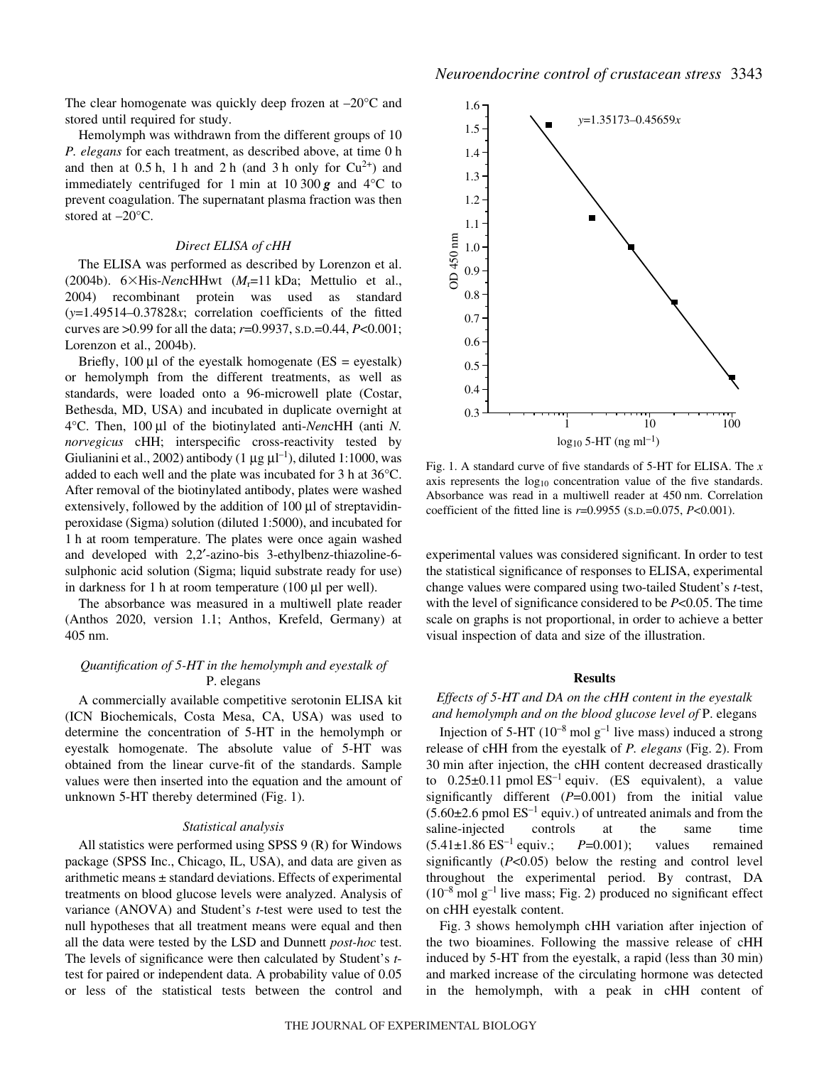The clear homogenate was quickly deep frozen at –20°C and stored until required for study.

Hemolymph was withdrawn from the different groups of 10 *P. elegans* for each treatment, as described above, at time 0 h and then at  $0.5h$ , 1 h and 2 h (and 3 h only for  $Cu^{2+}$ ) and immediately centrifuged for 1 min at 10 300  $g$  and 4<sup>°</sup>C to prevent coagulation. The supernatant plasma fraction was then stored at –20°C.

## *Direct ELISA of cHH*

The ELISA was performed as described by Lorenzon et al. (2004b). 6×His-*NencHHwt (M<sub>r</sub>=11 kDa*; Mettulio et al., 2004) recombinant protein was used as standard (*y*=1.49514–0.37828*x*; correlation coefficients of the fitted curves are >0.99 for all the data; *r*=0.9937, S.D.=0.44, *P*<0.001; Lorenzon et al., 2004b).

Briefly, 100  $\mu$ l of the eyestalk homogenate (ES = eyestalk) or hemolymph from the different treatments, as well as standards, were loaded onto a 96-microwell plate (Costar, Bethesda, MD, USA) and incubated in duplicate overnight at 4°C. Then, 100·μl of the biotinylated anti-*Nen*cHH (anti *N. norvegicus* cHH; interspecific cross-reactivity tested by Giulianini et al., 2002) antibody  $(1 \mu g \mu l^{-1})$ , diluted 1:1000, was added to each well and the plate was incubated for  $3h$  at  $36^{\circ}$ C. After removal of the biotinylated antibody, plates were washed extensively, followed by the addition of  $100 \mu l$  of streptavidinperoxidase (Sigma) solution (diluted 1:5000), and incubated for 1 h at room temperature. The plates were once again washed and developed with 2,2′-azino-bis 3-ethylbenz-thiazoline-6 sulphonic acid solution (Sigma; liquid substrate ready for use) in darkness for 1 h at room temperature (100  $\mu$ l per well).

The absorbance was measured in a multiwell plate reader (Anthos 2020, version 1.1; Anthos, Krefeld, Germany) at 405 nm.

# *Quantification of 5-HT in the hemolymph and eyestalk of* P. elegans

A commercially available competitive serotonin ELISA kit (ICN Biochemicals, Costa Mesa, CA, USA) was used to determine the concentration of 5-HT in the hemolymph or eyestalk homogenate. The absolute value of 5-HT was obtained from the linear curve-fit of the standards. Sample values were then inserted into the equation and the amount of unknown  $5-HT$  thereby determined (Fig. 1).

## *Statistical analysis*

All statistics were performed using SPSS 9 (R) for Windows package (SPSS Inc., Chicago, IL, USA), and data are given as arithmetic means ± standard deviations. Effects of experimental treatments on blood glucose levels were analyzed. Analysis of variance (ANOVA) and Student's *t*-test were used to test the null hypotheses that all treatment means were equal and then all the data were tested by the LSD and Dunnett *post-hoc* test. The levels of significance were then calculated by Student's *t*test for paired or independent data. A probability value of 0.05 or less of the statistical tests between the control and



Fig. 1. A standard curve of five standards of 5-HT for ELISA. The *x* axis represents the  $log_{10}$  concentration value of the five standards. Absorbance was read in a multiwell reader at 450 nm. Correlation coefficient of the fitted line is *r*=0.9955 (S.D.=0.075, *P*<0.001).

experimental values was considered significant. In order to test the statistical significance of responses to ELISA, experimental change values were compared using two-tailed Student's *t*-test, with the level of significance considered to be *P*<0.05. The time scale on graphs is not proportional, in order to achieve a better visual inspection of data and size of the illustration.

#### **Results**

# *Effects of 5-HT and DA on the cHH content in the eyestalk and hemolymph and on the blood glucose level of* P. elegans

Injection of 5-HT ( $10^{-8}$  mol g<sup>-1</sup> live mass) induced a strong release of cHH from the eyestalk of *P. elegans* (Fig. 2). From 30 min after injection, the cHH content decreased drastically to  $0.25\pm0.11$  pmol  $ES^{-1}$  equiv. (ES equivalent), a value significantly different (*P*=0.001) from the initial value  $(5.60\pm2.6~\text{pmol}~\text{ES}^{-1}~\text{equiv}$ .) of untreated animals and from the saline-injected controls at the same time  $(5.41 \pm 1.86 \text{ ES}^{-1} \text{ equiv.}; P=0.001);$  values remained significantly (*P*<0.05) below the resting and control level throughout the experimental period. By contrast, DA  $(10^{-8} \text{ mol g}^{-1}$  live mass; Fig. 2) produced no significant effect on cHH eyestalk content.

Fig. 3 shows hemolymph cHH variation after injection of the two bioamines. Following the massive release of cHH induced by 5-HT from the eyestalk, a rapid (less than 30 min) and marked increase of the circulating hormone was detected in the hemolymph, with a peak in cHH content of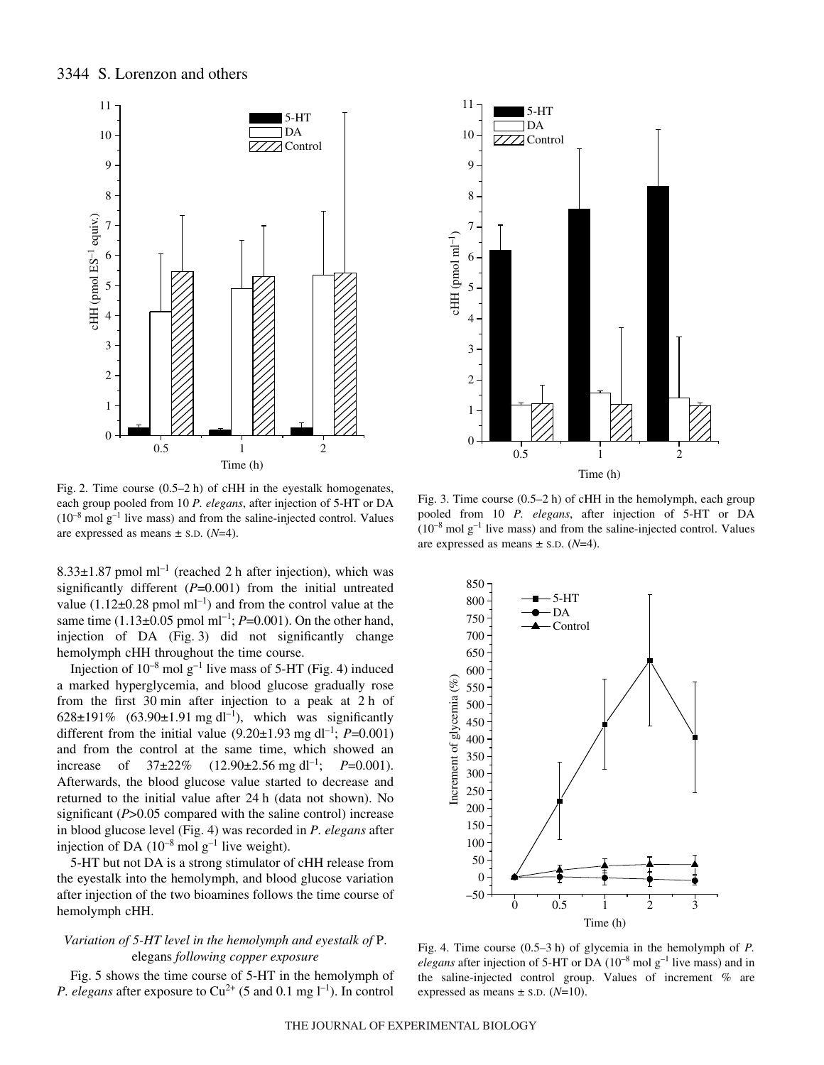

Fig. 2. Time course  $(0.5-2 h)$  of cHH in the eyestalk homogenates, each group pooled from 10 *P. elegans*, after injection of 5-HT or DA  $(10^{-8} \text{ mol g}^{-1}$  live mass) and from the saline-injected control. Values are expressed as means ± S.D. (*N*=4).

8.33 $\pm$ 1.87 pmol ml<sup>-1</sup> (reached 2 h after injection), which was significantly different (*P*=0.001) from the initial untreated value  $(1.12\pm0.28 \text{ pmol ml}^{-1})$  and from the control value at the same time (1.13 $\pm$ 0.05 pmol ml<sup>-1</sup>; *P*=0.001). On the other hand, injection of DA (Fig. 3) did not significantly change hemolymph cHH throughout the time course.

Injection of  $10^{-8}$  mol g<sup>-1</sup> live mass of 5-HT (Fig. 4) induced a marked hyperglycemia, and blood glucose gradually rose from the first  $30$  min after injection to a peak at  $2 h$  of 628 $\pm$ 191% (63.90 $\pm$ 1.91 mg dl<sup>-1</sup>), which was significantly different from the initial value  $(9.20\pm1.93 \text{ mg d}^{-1})$ ; *P*=0.001) and from the control at the same time, which showed an increase of  $37\pm22\%$   $(12.90\pm2.56 \text{ mg d}^{-1})$ ;  $P=0.001$ ). Afterwards, the blood glucose value started to decrease and returned to the initial value after 24 h (data not shown). No significant (*P*>0.05 compared with the saline control) increase in blood glucose level (Fig.·4) was recorded in *P. elegans* after injection of DA  $(10^{-8} \text{ mol g}^{-1})$  live weight).

5-HT but not DA is a strong stimulator of cHH release from the eyestalk into the hemolymph, and blood glucose variation after injection of the two bioamines follows the time course of hemolymph cHH.

# *Variation of 5-HT level in the hemolymph and eyestalk of* P. elegans *following copper exposure*

Fig. 5 shows the time course of 5-HT in the hemolymph of *P. elegans* after exposure to  $Cu^{2+}$  (5 and 0.1 mg  $l^{-1}$ ). In control



Fig. 3. Time course  $(0.5-2 h)$  of cHH in the hemolymph, each group pooled from 10 *P. elegans*, after injection of 5-HT or DA  $(10^{-8} \text{ mol g}^{-1}$  live mass) and from the saline-injected control. Values are expressed as means  $\pm$  s.D. ( $N=4$ ).



Fig. 4. Time course (0.5–3 h) of glycemia in the hemolymph of *P*. *elegans* after injection of 5-HT or DA  $(10^{-8} \text{ mol g}^{-1})$  live mass) and in the saline-injected control group. Values of increment % are expressed as means  $\pm$  s.D. ( $N=10$ ).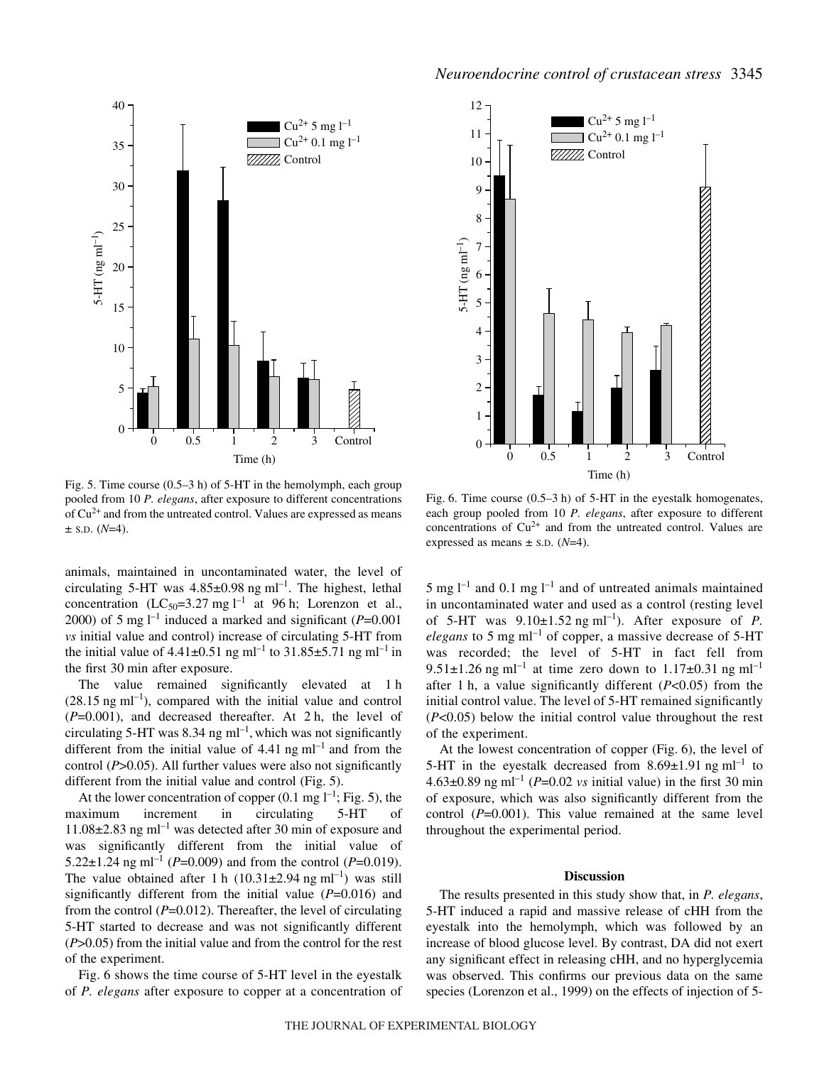

Fig. 5. Time course  $(0.5-3h)$  of 5-HT in the hemolymph, each group pooled from 10 *P. elegans*, after exposure to different concentrations of  $Cu<sup>2+</sup>$  and from the untreated control. Values are expressed as means  $\pm$  S.D. ( $N=4$ ).

animals, maintained in uncontaminated water, the level of circulating 5-HT was  $4.85\pm0.98$  ng ml<sup>-1</sup>. The highest, lethal concentration (LC<sub>50</sub>=3.27 mg l<sup>-1</sup> at 96 h; Lorenzon et al., 2000) of 5 mg  $l^{-1}$  induced a marked and significant ( $P=0.001$ *vs* initial value and control) increase of circulating 5-HT from the initial value of  $4.41\pm0.51$  ng ml<sup>-1</sup> to  $31.85\pm5.71$  ng ml<sup>-1</sup> in the first 30 min after exposure.

The value remained significantly elevated at 1 h  $(28.15 \text{ ng ml}^{-1})$ , compared with the initial value and control  $(P=0.001)$ , and decreased thereafter. At 2 h, the level of circulating 5-HT was 8.34 ng  $ml^{-1}$ , which was not significantly different from the initial value of  $4.41 \text{ ng ml}^{-1}$  and from the control (*P*>0.05). All further values were also not significantly different from the initial value and control  $(Fig. 5)$ .

At the lower concentration of copper  $(0.1 \text{ mg } l^{-1}$ ; Fig. 5), the maximum increment in circulating 5-HT of  $11.08\pm2.83$  ng ml<sup>-1</sup> was detected after 30 min of exposure and was significantly different from the initial value of 5.22 $\pm$ 1.24 ng ml<sup>-1</sup> (*P*=0.009) and from the control (*P*=0.019). The value obtained after 1 h  $(10.31\pm2.94 \text{ ng ml}^{-1})$  was still significantly different from the initial value (*P*=0.016) and from the control (*P*=0.012). Thereafter, the level of circulating 5-HT started to decrease and was not significantly different (*P*>0.05) from the initial value and from the control for the rest of the experiment.

Fig. 6 shows the time course of 5-HT level in the eyestalk of *P. elegans* after exposure to copper at a concentration of



Fig. 6. Time course  $(0.5-3h)$  of 5-HT in the eyestalk homogenates, each group pooled from 10 *P. elegans*, after exposure to different concentrations of  $Cu^{2+}$  and from the untreated control. Values are expressed as means  $\pm$  s.D. ( $N=4$ ).

5 mg  $l^{-1}$  and 0.1 mg  $l^{-1}$  and of untreated animals maintained in uncontaminated water and used as a control (resting level of 5-HT was  $9.10\pm1.52$  ng ml<sup>-1</sup>). After exposure of *P*. *elegans* to 5 mg  $ml^{-1}$  of copper, a massive decrease of 5-HT was recorded; the level of 5-HT in fact fell from 9.51 $\pm$ 1.26 ng ml<sup>-1</sup> at time zero down to 1.17 $\pm$ 0.31 ng ml<sup>-1</sup> after 1 h, a value significantly different  $(P<0.05)$  from the initial control value. The level of 5-HT remained significantly (*P*<0.05) below the initial control value throughout the rest of the experiment.

At the lowest concentration of copper (Fig. 6), the level of 5-HT in the eyestalk decreased from  $8.69 \pm 1.91$  ng ml<sup>-1</sup> to 4.63 $\pm$ 0.89 ng ml<sup>-1</sup> (*P*=0.02 *vs* initial value) in the first 30 min of exposure, which was also significantly different from the control (*P*=0.001). This value remained at the same level throughout the experimental period.

#### **Discussion**

The results presented in this study show that, in *P. elegans*, 5-HT induced a rapid and massive release of cHH from the eyestalk into the hemolymph, which was followed by an increase of blood glucose level. By contrast, DA did not exert any significant effect in releasing cHH, and no hyperglycemia was observed. This confirms our previous data on the same species (Lorenzon et al., 1999) on the effects of injection of 5-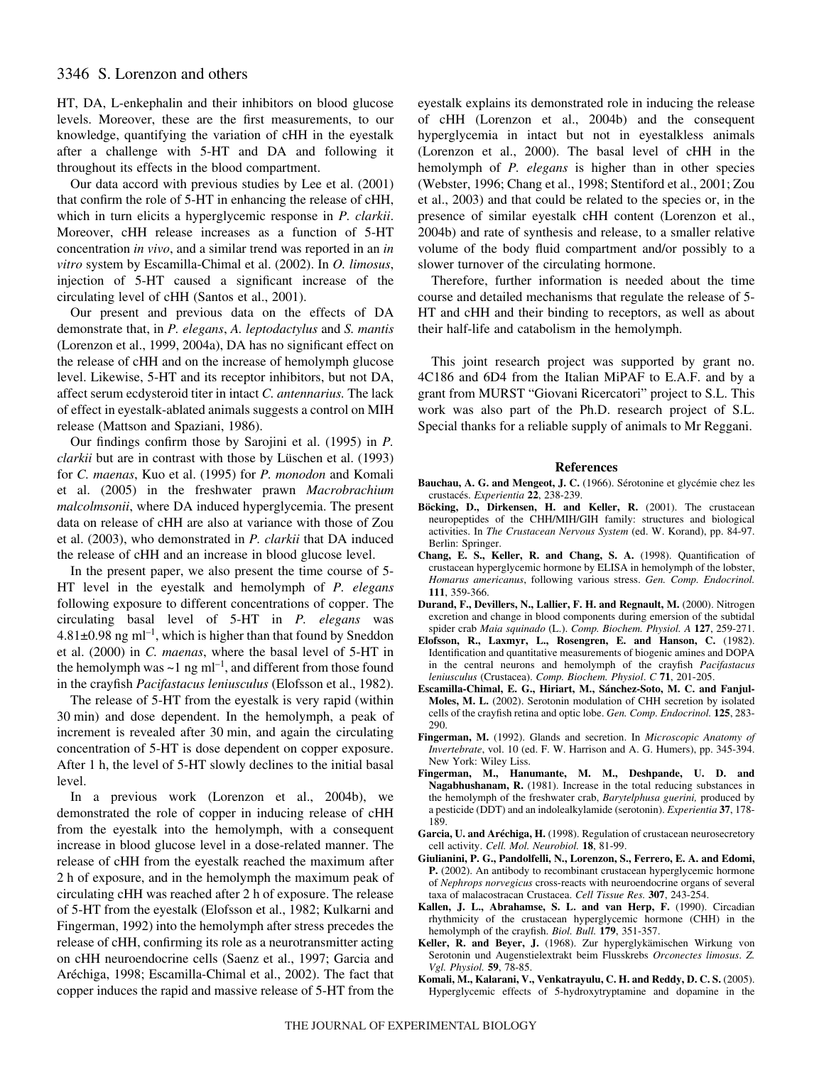# 3346 S. Lorenzon and others

HT, DA, L-enkephalin and their inhibitors on blood glucose levels. Moreover, these are the first measurements, to our knowledge, quantifying the variation of cHH in the eyestalk after a challenge with 5-HT and DA and following it throughout its effects in the blood compartment.

Our data accord with previous studies by Lee et al. (2001) that confirm the role of 5-HT in enhancing the release of cHH, which in turn elicits a hyperglycemic response in *P. clarkii*. Moreover, cHH release increases as a function of 5-HT concentration *in vivo*, and a similar trend was reported in an *in vitro* system by Escamilla-Chimal et al. (2002). In *O. limosus*, injection of 5-HT caused a significant increase of the circulating level of cHH (Santos et al., 2001).

Our present and previous data on the effects of DA demonstrate that, in *P. elegans*, *A. leptodactylus* and *S. mantis* (Lorenzon et al., 1999, 2004a), DA has no significant effect on the release of cHH and on the increase of hemolymph glucose level. Likewise, 5-HT and its receptor inhibitors, but not DA, affect serum ecdysteroid titer in intact *C. antennarius.* The lack of effect in eyestalk-ablated animals suggests a control on MIH release (Mattson and Spaziani, 1986).

Our findings confirm those by Sarojini et al. (1995) in *P. clarkii* but are in contrast with those by Lüschen et al. (1993) for *C. maenas*, Kuo et al. (1995) for *P. monodon* and Komali et al. (2005) in the freshwater prawn *Macrobrachium malcolmsonii*, where DA induced hyperglycemia. The present data on release of cHH are also at variance with those of Zou et al. (2003), who demonstrated in *P. clarkii* that DA induced the release of cHH and an increase in blood glucose level.

In the present paper, we also present the time course of 5- HT level in the eyestalk and hemolymph of *P. elegans* following exposure to different concentrations of copper. The circulating basal level of 5-HT in *P. elegans* was  $4.81\pm0.98$  ng ml<sup>-1</sup>, which is higher than that found by Sneddon et al. (2000) in *C. maenas*, where the basal level of 5-HT in the hemolymph was  $\sim$ 1 ng ml<sup>-1</sup>, and different from those found in the crayfish *Pacifastacus leniusculus* (Elofsson et al., 1982).

The release of 5-HT from the eyestalk is very rapid (within 30 min) and dose dependent. In the hemolymph, a peak of increment is revealed after 30 min, and again the circulating concentration of 5-HT is dose dependent on copper exposure. After 1 h, the level of 5-HT slowly declines to the initial basal level.

In a previous work (Lorenzon et al., 2004b), we demonstrated the role of copper in inducing release of cHH from the eyestalk into the hemolymph, with a consequent increase in blood glucose level in a dose-related manner. The release of cHH from the eyestalk reached the maximum after 2 h of exposure, and in the hemolymph the maximum peak of circulating cHH was reached after 2 h of exposure. The release of 5-HT from the eyestalk (Elofsson et al., 1982; Kulkarni and Fingerman, 1992) into the hemolymph after stress precedes the release of cHH, confirming its role as a neurotransmitter acting on cHH neuroendocrine cells (Saenz et al., 1997; Garcia and Aréchiga, 1998; Escamilla-Chimal et al., 2002). The fact that copper induces the rapid and massive release of 5-HT from the eyestalk explains its demonstrated role in inducing the release of cHH (Lorenzon et al., 2004b) and the consequent hyperglycemia in intact but not in eyestalkless animals (Lorenzon et al., 2000). The basal level of cHH in the hemolymph of *P. elegans* is higher than in other species (Webster, 1996; Chang et al., 1998; Stentiford et al., 2001; Zou et al., 2003) and that could be related to the species or, in the presence of similar eyestalk cHH content (Lorenzon et al., 2004b) and rate of synthesis and release, to a smaller relative volume of the body fluid compartment and/or possibly to a slower turnover of the circulating hormone.

Therefore, further information is needed about the time course and detailed mechanisms that regulate the release of 5- HT and cHH and their binding to receptors, as well as about their half-life and catabolism in the hemolymph.

This joint research project was supported by grant no. 4C186 and 6D4 from the Italian MiPAF to E.A.F. and by a grant from MURST "Giovani Ricercatori" project to S.L. This work was also part of the Ph.D. research project of S.L. Special thanks for a reliable supply of animals to Mr Reggani.

#### **References**

- **Bauchau, A. G. and Mengeot, J. C.** (1966). Sérotonine et glycémie chez les crustacés. *Experientia* **22**, 238-239.
- **Böcking, D., Dirkensen, H. and Keller, R.** (2001). The crustacean neuropeptides of the CHH/MIH/GIH family: structures and biological activities. In *The Crustacean Nervous System* (ed. W. Korand), pp. 84-97. Berlin: Springer.
- **Chang, E. S., Keller, R. and Chang, S. A.** (1998). Quantification of crustacean hyperglycemic hormone by ELISA in hemolymph of the lobster, *Homarus americanus*, following various stress. *Gen. Comp. Endocrinol.* **111**, 359-366.
- **Durand, F., Devillers, N., Lallier, F. H. and Regnault, M.** (2000). Nitrogen excretion and change in blood components during emersion of the subtidal spider crab *Maia squinado* (L.). *Comp. Biochem. Physiol. A* **127**, 259-271.
- **Elofsson, R., Laxmyr, L., Rosengren, E. and Hanson, C.** (1982). Identification and quantitative measurements of biogenic amines and DOPA in the central neurons and hemolymph of the crayfish *Pacifastacus leniusculus* (Crustacea). *Comp. Biochem. Physiol*. *C* **71**, 201-205.
- **Escamilla-Chimal, E. G., Hiriart, M., Sánchez-Soto, M. C. and Fanjul-Moles, M. L.** (2002). Serotonin modulation of CHH secretion by isolated cells of the crayfish retina and optic lobe. *Gen. Comp. Endocrinol.* **125**, 283- 290.
- **Fingerman, M.** (1992). Glands and secretion. In *Microscopic Anatomy of Invertebrate*, vol. 10 (ed. F. W. Harrison and A. G. Humers), pp. 345-394. New York: Wiley Liss.
- **Fingerman, M., Hanumante, M. M., Deshpande, U. D. and Nagabhushanam, R.** (1981). Increase in the total reducing substances in the hemolymph of the freshwater crab, *Barytelphusa guerini,* produced by a pesticide (DDT) and an indolealkylamide (serotonin). *Experientia* **37**, 178- 189.
- **Garcia, U. and Aréchiga, H.** (1998). Regulation of crustacean neurosecretory cell activity. *Cell. Mol. Neurobiol.* **18**, 81-99.
- **Giulianini, P. G., Pandolfelli, N., Lorenzon, S., Ferrero, E. A. and Edomi, P.** (2002). An antibody to recombinant crustacean hyperglycemic hormone of *Nephrops norvegicus* cross-reacts with neuroendocrine organs of several taxa of malacostracan Crustacea. *Cell Tissue Res.* **307**, 243-254.
- **Kallen, J. L., Abrahamse, S. L. and van Herp, F.** (1990). Circadian rhythmicity of the crustacean hyperglycemic hormone (CHH) in the hemolymph of the crayfish. *Biol. Bull.* **179**, 351-357.
- **Keller, R. and Beyer, J.** (1968). Zur hyperglykämischen Wirkung von Serotonin und Augenstielextrakt beim Flusskrebs *Orconectes limosus*. *Z. Vgl. Physiol.* **59**, 78-85.
- **Komali, M., Kalarani, V., Venkatrayulu, C. H. and Reddy, D. C. S.** (2005). Hyperglycemic effects of 5-hydroxytryptamine and dopamine in the